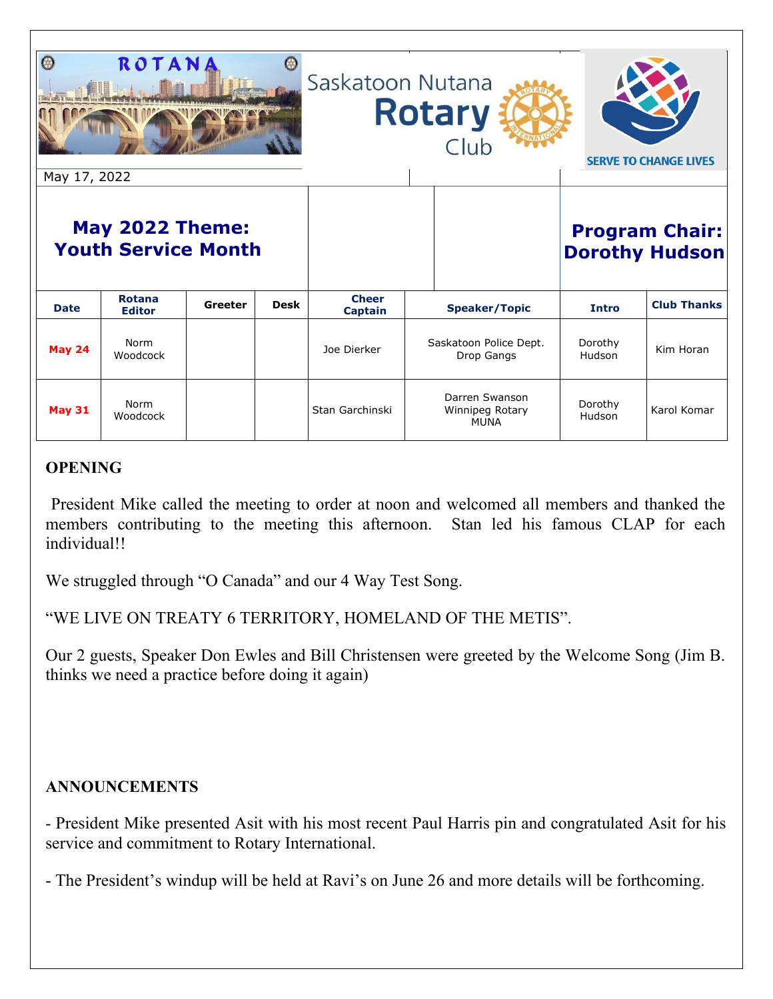| $\omega$<br>May 17, 2022                             | ROTANA                         | Saskatoon Nutana<br><b>Rotary</b><br>Club |             | <b>SERVE TO CHANGE LIVES</b>   |  |                                                  |                       |                       |
|------------------------------------------------------|--------------------------------|-------------------------------------------|-------------|--------------------------------|--|--------------------------------------------------|-----------------------|-----------------------|
| <b>May 2022 Theme:</b><br><b>Youth Service Month</b> |                                |                                           |             |                                |  |                                                  | <b>Dorothy Hudson</b> | <b>Program Chair:</b> |
| <b>Date</b>                                          | <b>Rotana</b><br><b>Editor</b> | Greeter                                   | <b>Desk</b> | <b>Cheer</b><br><b>Captain</b> |  | <b>Speaker/Topic</b>                             | Intro                 | <b>Club Thanks</b>    |
| <b>May 24</b>                                        | Norm<br>Woodcock               |                                           |             | Joe Dierker                    |  | Saskatoon Police Dept.<br>Drop Gangs             | Dorothy<br>Hudson     | Kim Horan             |
| <b>May 31</b>                                        | Norm<br>Woodcock               |                                           |             | Stan Garchinski                |  | Darren Swanson<br>Winnipeg Rotary<br><b>MUNA</b> | Dorothy<br>Hudson     | Karol Komar           |

## **OPENING**

President Mike called the meeting to order at noon and welcomed all members and thanked the members contributing to the meeting this afternoon. Stan led his famous CLAP for each individual!!

We struggled through "O Canada" and our 4 Way Test Song.

"WE LIVE ON TREATY 6 TERRITORY, HOMELAND OF THE METIS".

Our 2 guests, Speaker Don Ewles and Bill Christensen were greeted by the Welcome Song (Jim B. thinks we need a practice before doing it again)

# **ANNOUNCEMENTS**

- President Mike presented Asit with his most recent Paul Harris pin and congratulated Asit for his service and commitment to Rotary International.

- The President's windup will be held at Ravi's on June 26 and more details will be forthcoming.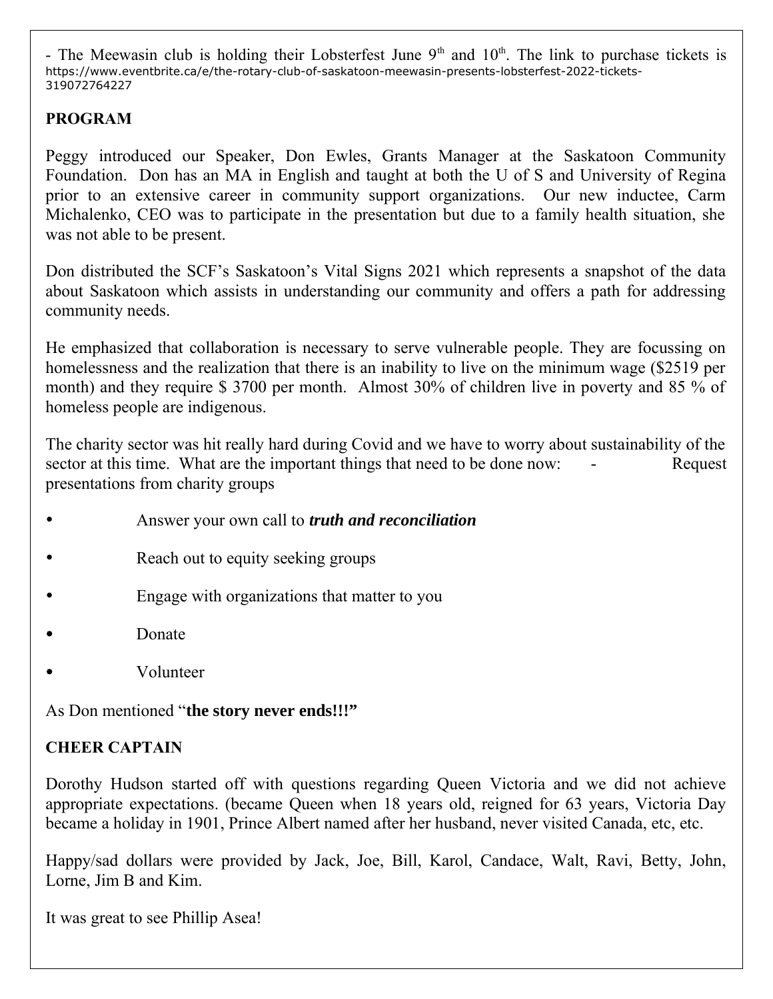- The Meewasin club is holding their Lobsterfest June  $9<sup>th</sup>$  and  $10<sup>th</sup>$ . The link to purchase tickets is [https://www.eventbrite.ca/e/the-rotary-club-of-saskatoon-meewasin-presents-lobsterfest-2022-tickets-](https://www.eventbrite.ca/e/the-rotary-club-of-saskatoon-meewasin-presents-lobsterfest-2022-tickets-319072764227)[319072764227](https://www.eventbrite.ca/e/the-rotary-club-of-saskatoon-meewasin-presents-lobsterfest-2022-tickets-319072764227)

## **PROGRAM**

Peggy introduced our Speaker, Don Ewles, Grants Manager at the Saskatoon Community Foundation. Don has an MA in English and taught at both the U of S and University of Regina prior to an extensive career in community support organizations. Our new inductee, Carm Michalenko, CEO was to participate in the presentation but due to a family health situation, she was not able to be present.

Don distributed the SCF's Saskatoon's Vital Signs 2021 which represents a snapshot of the data about Saskatoon which assists in understanding our community and offers a path for addressing community needs.

He emphasized that collaboration is necessary to serve vulnerable people. They are focussing on homelessness and the realization that there is an inability to live on the minimum wage (\$2519 per month) and they require \$ 3700 per month. Almost 30% of children live in poverty and 85 % of homeless people are indigenous.

The charity sector was hit really hard during Covid and we have to worry about sustainability of the sector at this time. What are the important things that need to be done now: - Request presentations from charity groups

- Answer your own call to *truth and reconciliation*
- Reach out to equity seeking groups
- Engage with organizations that matter to you
- Donate
- Volunteer

As Don mentioned "**the story never ends!!!"**

# **CHEER CAPTAIN**

Dorothy Hudson started off with questions regarding Queen Victoria and we did not achieve appropriate expectations. (became Queen when 18 years old, reigned for 63 years, Victoria Day became a holiday in 1901, Prince Albert named after her husband, never visited Canada, etc, etc.

Happy/sad dollars were provided by Jack, Joe, Bill, Karol, Candace, Walt, Ravi, Betty, John, Lorne, Jim B and Kim.

It was great to see Phillip Asea!